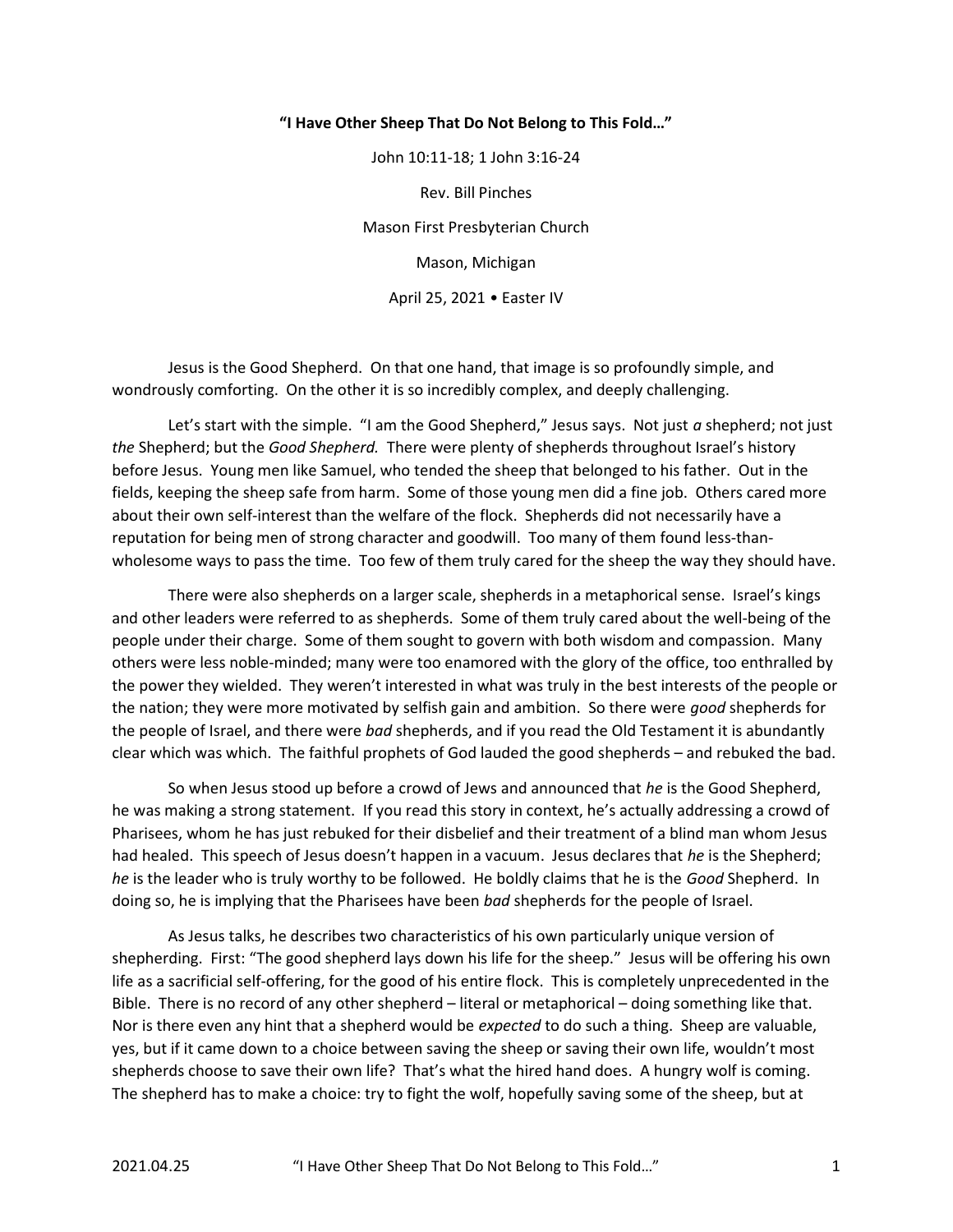## "I Have Other Sheep That Do Not Belong to This Fold…"

John 10:11-18; 1 John 3:16-24 Rev. Bill Pinches Mason First Presbyterian Church Mason, Michigan April 25, 2021 • Easter IV

 Jesus is the Good Shepherd. On that one hand, that image is so profoundly simple, and wondrously comforting. On the other it is so incredibly complex, and deeply challenging.

Let's start with the simple. "I am the Good Shepherd," Jesus says. Not just  $a$  shepherd; not just the Shepherd; but the Good Shepherd. There were plenty of shepherds throughout Israel's history before Jesus. Young men like Samuel, who tended the sheep that belonged to his father. Out in the fields, keeping the sheep safe from harm. Some of those young men did a fine job. Others cared more about their own self-interest than the welfare of the flock. Shepherds did not necessarily have a reputation for being men of strong character and goodwill. Too many of them found less-thanwholesome ways to pass the time. Too few of them truly cared for the sheep the way they should have.

 There were also shepherds on a larger scale, shepherds in a metaphorical sense. Israel's kings and other leaders were referred to as shepherds. Some of them truly cared about the well-being of the people under their charge. Some of them sought to govern with both wisdom and compassion. Many others were less noble-minded; many were too enamored with the glory of the office, too enthralled by the power they wielded. They weren't interested in what was truly in the best interests of the people or the nation; they were more motivated by selfish gain and ambition. So there were good shepherds for the people of Israel, and there were *bad* shepherds, and if you read the Old Testament it is abundantly clear which was which. The faithful prophets of God lauded the good shepherds – and rebuked the bad.

So when Jesus stood up before a crowd of Jews and announced that he is the Good Shepherd, he was making a strong statement. If you read this story in context, he's actually addressing a crowd of Pharisees, whom he has just rebuked for their disbelief and their treatment of a blind man whom Jesus had healed. This speech of Jesus doesn't happen in a vacuum. Jesus declares that he is the Shepherd; he is the leader who is truly worthy to be followed. He boldly claims that he is the Good Shepherd. In doing so, he is implying that the Pharisees have been bad shepherds for the people of Israel.

 As Jesus talks, he describes two characteristics of his own particularly unique version of shepherding. First: "The good shepherd lays down his life for the sheep." Jesus will be offering his own life as a sacrificial self-offering, for the good of his entire flock. This is completely unprecedented in the Bible. There is no record of any other shepherd – literal or metaphorical – doing something like that. Nor is there even any hint that a shepherd would be *expected* to do such a thing. Sheep are valuable, yes, but if it came down to a choice between saving the sheep or saving their own life, wouldn't most shepherds choose to save their own life? That's what the hired hand does. A hungry wolf is coming. The shepherd has to make a choice: try to fight the wolf, hopefully saving some of the sheep, but at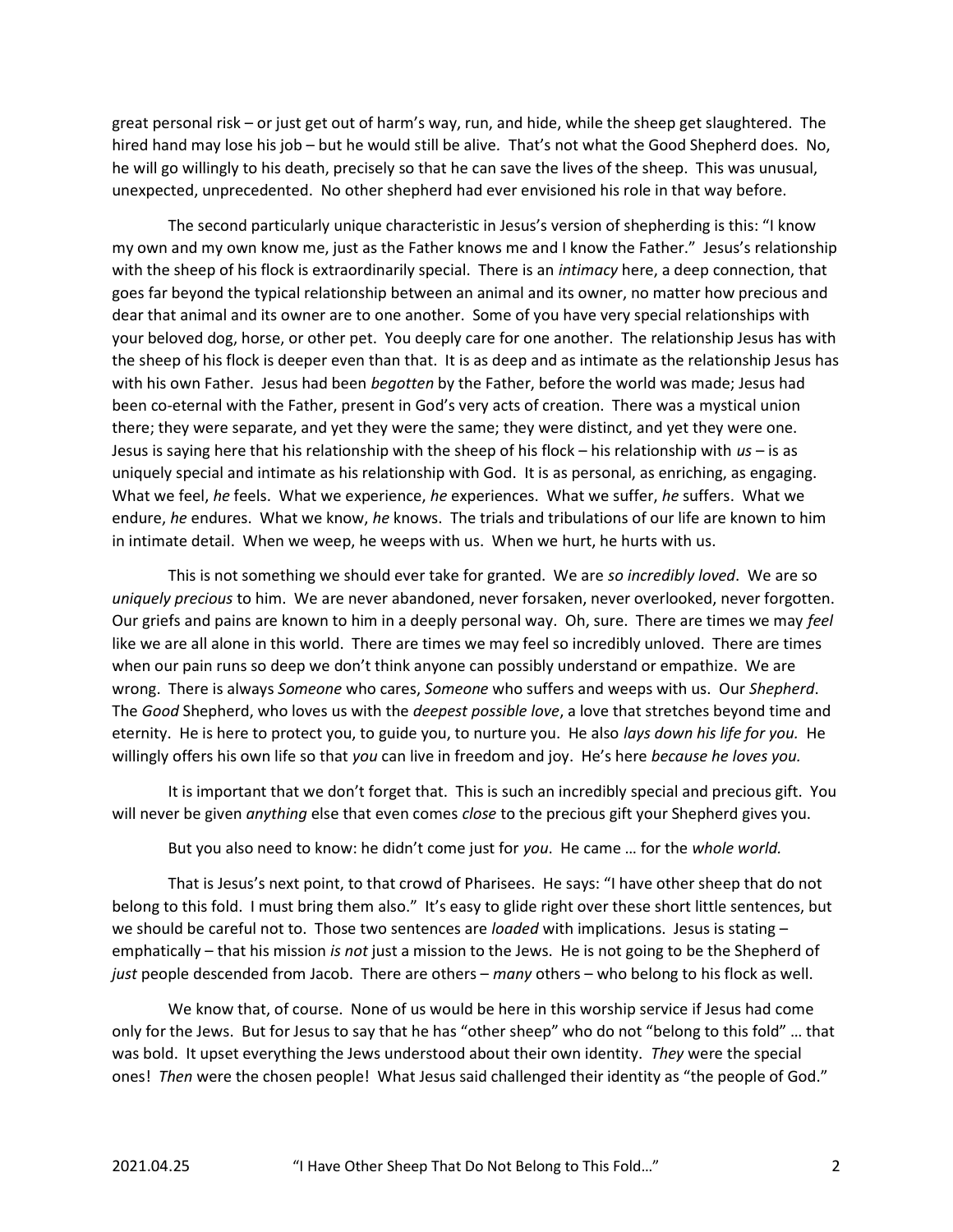great personal risk – or just get out of harm's way, run, and hide, while the sheep get slaughtered. The hired hand may lose his job – but he would still be alive. That's not what the Good Shepherd does. No, he will go willingly to his death, precisely so that he can save the lives of the sheep. This was unusual, unexpected, unprecedented. No other shepherd had ever envisioned his role in that way before.

 The second particularly unique characteristic in Jesus's version of shepherding is this: "I know my own and my own know me, just as the Father knows me and I know the Father." Jesus's relationship with the sheep of his flock is extraordinarily special. There is an *intimacy* here, a deep connection, that goes far beyond the typical relationship between an animal and its owner, no matter how precious and dear that animal and its owner are to one another. Some of you have very special relationships with your beloved dog, horse, or other pet. You deeply care for one another. The relationship Jesus has with the sheep of his flock is deeper even than that. It is as deep and as intimate as the relationship Jesus has with his own Father. Jesus had been begotten by the Father, before the world was made; Jesus had been co-eternal with the Father, present in God's very acts of creation. There was a mystical union there; they were separate, and yet they were the same; they were distinct, and yet they were one. Jesus is saying here that his relationship with the sheep of his flock – his relationship with  $us -$  is as uniquely special and intimate as his relationship with God. It is as personal, as enriching, as engaging. What we feel, he feels. What we experience, he experiences. What we suffer, he suffers. What we endure, he endures. What we know, he knows. The trials and tribulations of our life are known to him in intimate detail. When we weep, he weeps with us. When we hurt, he hurts with us.

This is not something we should ever take for granted. We are so incredibly loved. We are so uniquely precious to him. We are never abandoned, never forsaken, never overlooked, never forgotten. Our griefs and pains are known to him in a deeply personal way. Oh, sure. There are times we may feel like we are all alone in this world. There are times we may feel so incredibly unloved. There are times when our pain runs so deep we don't think anyone can possibly understand or empathize. We are wrong. There is always Someone who cares, Someone who suffers and weeps with us. Our Shepherd. The Good Shepherd, who loves us with the deepest possible love, a love that stretches beyond time and eternity. He is here to protect you, to guide you, to nurture you. He also lays down his life for you. He willingly offers his own life so that you can live in freedom and joy. He's here because he loves you.

 It is important that we don't forget that. This is such an incredibly special and precious gift. You will never be given anything else that even comes close to the precious gift your Shepherd gives you.

But you also need to know: he didn't come just for you. He came ... for the whole world.

 That is Jesus's next point, to that crowd of Pharisees. He says: "I have other sheep that do not belong to this fold. I must bring them also." It's easy to glide right over these short little sentences, but we should be careful not to. Those two sentences are *loaded* with implications. Jesus is stating  $$ emphatically – that his mission is not just a mission to the Jews. He is not going to be the Shepherd of just people descended from Jacob. There are others – many others – who belong to his flock as well.

 We know that, of course. None of us would be here in this worship service if Jesus had come only for the Jews. But for Jesus to say that he has "other sheep" who do not "belong to this fold" … that was bold. It upset everything the Jews understood about their own identity. They were the special ones! Then were the chosen people! What Jesus said challenged their identity as "the people of God."